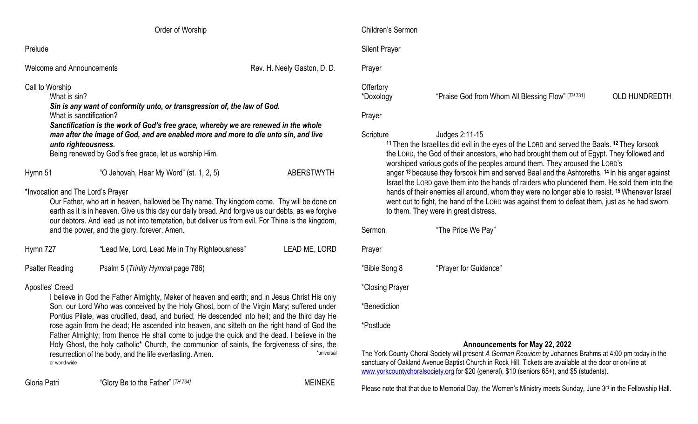|                                                                                                                                                                                                                                                                                                                                                                                                       | Order of Worship                                                                                                                                                                                                                                                                                                                                                                                                                                                                                                                                                                                                                                         |                             |  |
|-------------------------------------------------------------------------------------------------------------------------------------------------------------------------------------------------------------------------------------------------------------------------------------------------------------------------------------------------------------------------------------------------------|----------------------------------------------------------------------------------------------------------------------------------------------------------------------------------------------------------------------------------------------------------------------------------------------------------------------------------------------------------------------------------------------------------------------------------------------------------------------------------------------------------------------------------------------------------------------------------------------------------------------------------------------------------|-----------------------------|--|
| Prelude                                                                                                                                                                                                                                                                                                                                                                                               |                                                                                                                                                                                                                                                                                                                                                                                                                                                                                                                                                                                                                                                          |                             |  |
| <b>Welcome and Announcements</b>                                                                                                                                                                                                                                                                                                                                                                      |                                                                                                                                                                                                                                                                                                                                                                                                                                                                                                                                                                                                                                                          | Rev. H. Neely Gaston, D. D. |  |
| Call to Worship<br>What is sin?<br>Sin is any want of conformity unto, or transgression of, the law of God.<br>What is sanctification?<br>Sanctification is the work of God's free grace, whereby we are renewed in the whole<br>man after the image of God, and are enabled more and more to die unto sin, and live<br>unto righteousness.<br>Being renewed by God's free grace, let us worship Him. |                                                                                                                                                                                                                                                                                                                                                                                                                                                                                                                                                                                                                                                          |                             |  |
| Hymn 51                                                                                                                                                                                                                                                                                                                                                                                               | "O Jehovah, Hear My Word" (st. 1, 2, 5)                                                                                                                                                                                                                                                                                                                                                                                                                                                                                                                                                                                                                  | <b>ABERSTWYTH</b>           |  |
| *Invocation and The Lord's Prayer                                                                                                                                                                                                                                                                                                                                                                     | Our Father, who art in heaven, hallowed be Thy name. Thy kingdom come. Thy will be done on<br>earth as it is in heaven. Give us this day our daily bread. And forgive us our debts, as we forgive<br>our debtors. And lead us not into temptation, but deliver us from evil. For Thine is the kingdom,<br>and the power, and the glory, forever. Amen.                                                                                                                                                                                                                                                                                                   |                             |  |
| Hymn 727                                                                                                                                                                                                                                                                                                                                                                                              | "Lead Me, Lord, Lead Me in Thy Righteousness"                                                                                                                                                                                                                                                                                                                                                                                                                                                                                                                                                                                                            | LEAD ME, LORD               |  |
| <b>Psalter Reading</b>                                                                                                                                                                                                                                                                                                                                                                                | Psalm 5 (Trinity Hymnal page 786)                                                                                                                                                                                                                                                                                                                                                                                                                                                                                                                                                                                                                        |                             |  |
| Apostles' Creed<br>or world-wide                                                                                                                                                                                                                                                                                                                                                                      | I believe in God the Father Almighty, Maker of heaven and earth; and in Jesus Christ His only<br>Son, our Lord Who was conceived by the Holy Ghost, born of the Virgin Mary; suffered under<br>Pontius Pilate, was crucified, dead, and buried; He descended into hell; and the third day He<br>rose again from the dead; He ascended into heaven, and sitteth on the right hand of God the<br>Father Almighty; from thence He shall come to judge the quick and the dead. I believe in the<br>Holy Ghost, the holy catholic* Church, the communion of saints, the forgiveness of sins, the<br>resurrection of the body, and the life everlasting. Amen. | *universal                  |  |

Gloria Patri "Glory Be to the Father" [*TH 734]*

Children's Sermon

## Silent Prayer

Prayer

## **Offertory**

\*Doxology "Praise God from Whom All Blessing Flow" [*TH* 731]

OLD HUNDREDTH

## Prayer

## Scripture Judges 2:11-15

**<sup>11</sup>** Then the Israelites did evil in the eyes of the LORD and served the Baals. **<sup>12</sup>** They forsook the LORD, the God of their ancestors, who had brought them out of Egypt. They followed and worshiped various gods of the peoples around them. They aroused the LORD's anger **<sup>13</sup>** because they forsook him and served Baal and the Ashtoreths. **<sup>14</sup>** In his anger against Israel the LORD gave them into the hands of raiders who plundered them. He sold them into the hands of their enemies all around, whom they were no longer able to resist. **<sup>15</sup>**Whenever Israel went out to fight, the hand of the LORD was against them to defeat them, just as he had sworn to them. They were in great distress.

Sermon "The Price We Pay" Prayer \*Bible Song 8 "Prayer for Guidance"

\*Closing Prayer

\*Benediction

\*Postlude

MEINEKE

## **Announcements for May 22, 2022**

The York County Choral Society will present *A German Requiem* by Johannes Brahms at 4:00 pm today in the sanctuary of Oakland Avenue Baptist Church in Rock Hill. Tickets are available at the door or on-line at [www.yorkcountychoralsociety.org](http://www.yorkcountychoralsociety.org/) for \$20 (general), \$10 (seniors 65+), and \$5 (students).

Please note that that due to Memorial Day, the Women's Ministry meets Sunday, June 3<sup>rd</sup> in the Fellowship Hall.